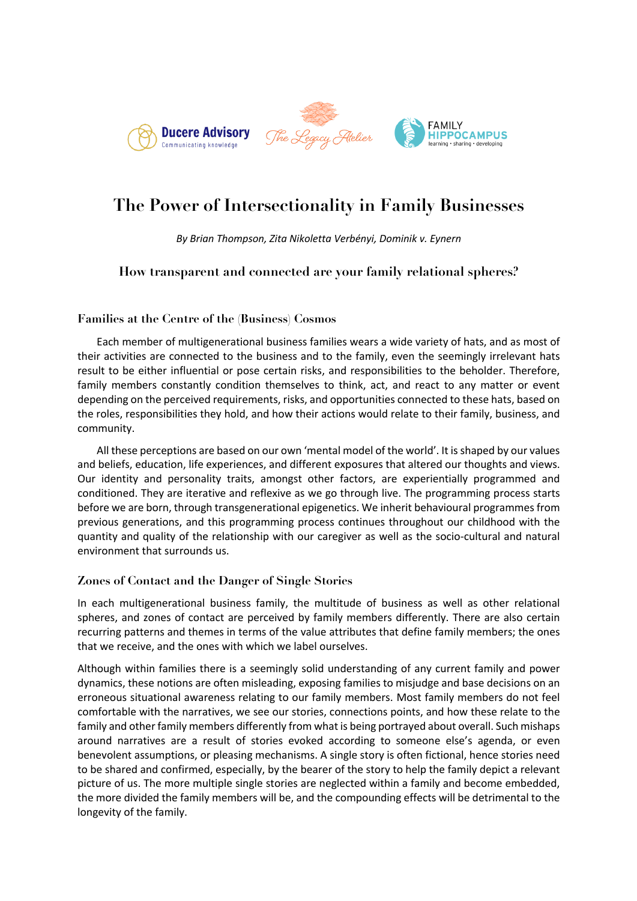

# **The Power of Intersectionality in Family Businesses**

*By Brian Thompson, Zita Nikoletta Verbényi, Dominik v. Eynern*

# **How transparent and connected are your family relational spheres?**

#### **Families at the Centre of the (Business) Cosmos**

Each member of multigenerational business families wears a wide variety of hats, and as most of their activities are connected to the business and to the family, even the seemingly irrelevant hats result to be either influential or pose certain risks, and responsibilities to the beholder. Therefore, family members constantly condition themselves to think, act, and react to any matter or event depending on the perceived requirements, risks, and opportunities connected to these hats, based on the roles, responsibilities they hold, and how their actions would relate to their family, business, and community.

All these perceptions are based on our own 'mental model of the world'. It is shaped by our values and beliefs, education, life experiences, and different exposures that altered our thoughts and views. Our identity and personality traits, amongst other factors, are experientially programmed and conditioned. They are iterative and reflexive as we go through live. The programming process starts before we are born, through transgenerational epigenetics. We inherit behavioural programmes from previous generations, and this programming process continues throughout our childhood with the quantity and quality of the relationship with our caregiver as well as the socio-cultural and natural environment that surrounds us.

#### **Zones of Contact and the Danger of Single Stories**

In each multigenerational business family, the multitude of business as well as other relational spheres, and zones of contact are perceived by family members differently. There are also certain recurring patterns and themes in terms of the value attributes that define family members; the ones that we receive, and the ones with which we label ourselves.

Although within families there is a seemingly solid understanding of any current family and power dynamics, these notions are often misleading, exposing families to misjudge and base decisions on an erroneous situational awareness relating to our family members. Most family members do not feel comfortable with the narratives, we see our stories, connections points, and how these relate to the family and other family members differently from what is being portrayed about overall. Such mishaps around narratives are a result of stories evoked according to someone else's agenda, or even benevolent assumptions, or pleasing mechanisms. A single story is often fictional, hence stories need to be shared and confirmed, especially, by the bearer of the story to help the family depict a relevant picture of us. The more multiple single stories are neglected within a family and become embedded, the more divided the family members will be, and the compounding effects will be detrimental to the longevity of the family.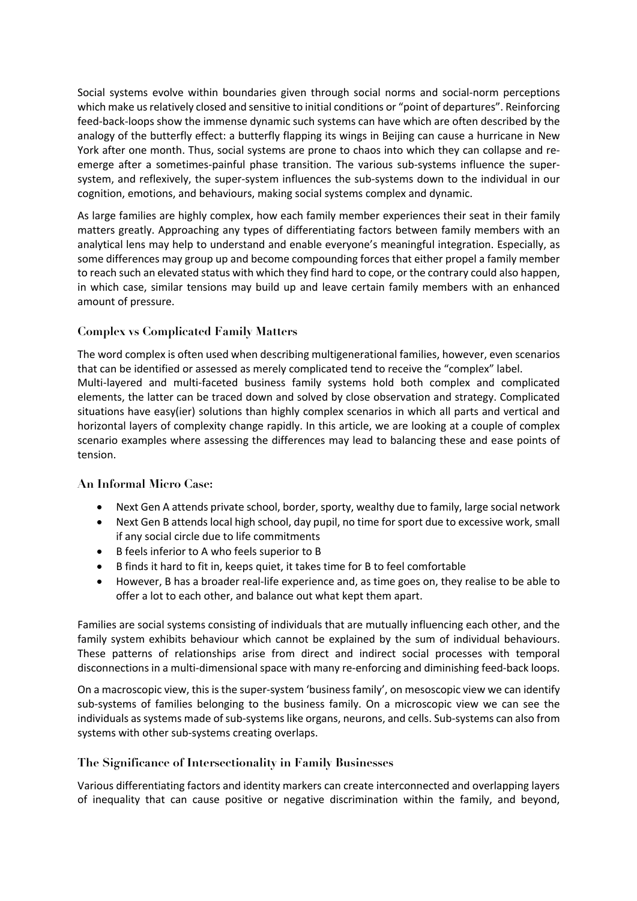Social systems evolve within boundaries given through social norms and social-norm perceptions which make us relatively closed and sensitive to initial conditions or "point of departures". Reinforcing feed-back-loops show the immense dynamic such systems can have which are often described by the analogy of the butterfly effect: a butterfly flapping its wings in Beijing can cause a hurricane in New York after one month. Thus, social systems are prone to chaos into which they can collapse and reemerge after a sometimes-painful phase transition. The various sub-systems influence the supersystem, and reflexively, the super-system influences the sub-systems down to the individual in our cognition, emotions, and behaviours, making social systems complex and dynamic.

As large families are highly complex, how each family member experiences their seat in their family matters greatly. Approaching any types of differentiating factors between family members with an analytical lens may help to understand and enable everyone's meaningful integration. Especially, as some differences may group up and become compounding forces that either propel a family member to reach such an elevated status with which they find hard to cope, or the contrary could also happen, in which case, similar tensions may build up and leave certain family members with an enhanced amount of pressure.

## **Complex vs Complicated Family Matters**

The word complex is often used when describing multigenerational families, however, even scenarios that can be identified or assessed as merely complicated tend to receive the "complex" label. Multi-layered and multi-faceted business family systems hold both complex and complicated elements, the latter can be traced down and solved by close observation and strategy. Complicated situations have easy(ier) solutions than highly complex scenarios in which all parts and vertical and horizontal layers of complexity change rapidly. In this article, we are looking at a couple of complex scenario examples where assessing the differences may lead to balancing these and ease points of tension.

## **An Informal Micro Case:**

- Next Gen A attends private school, border, sporty, wealthy due to family, large social network
- Next Gen B attends local high school, day pupil, no time for sport due to excessive work, small if any social circle due to life commitments
- B feels inferior to A who feels superior to B
- B finds it hard to fit in, keeps quiet, it takes time for B to feel comfortable
- However, B has a broader real-life experience and, as time goes on, they realise to be able to offer a lot to each other, and balance out what kept them apart.

Families are social systems consisting of individuals that are mutually influencing each other, and the family system exhibits behaviour which cannot be explained by the sum of individual behaviours. These patterns of relationships arise from direct and indirect social processes with temporal disconnections in a multi-dimensional space with many re-enforcing and diminishing feed-back loops.

On a macroscopic view, this is the super-system 'business family', on mesoscopic view we can identify sub-systems of families belonging to the business family. On a microscopic view we can see the individuals as systems made of sub-systems like organs, neurons, and cells. Sub-systems can also from systems with other sub-systems creating overlaps.

#### **The Significance of Intersectionality in Family Businesses**

Various differentiating factors and identity markers can create interconnected and overlapping layers of inequality that can cause positive or negative discrimination within the family, and beyond,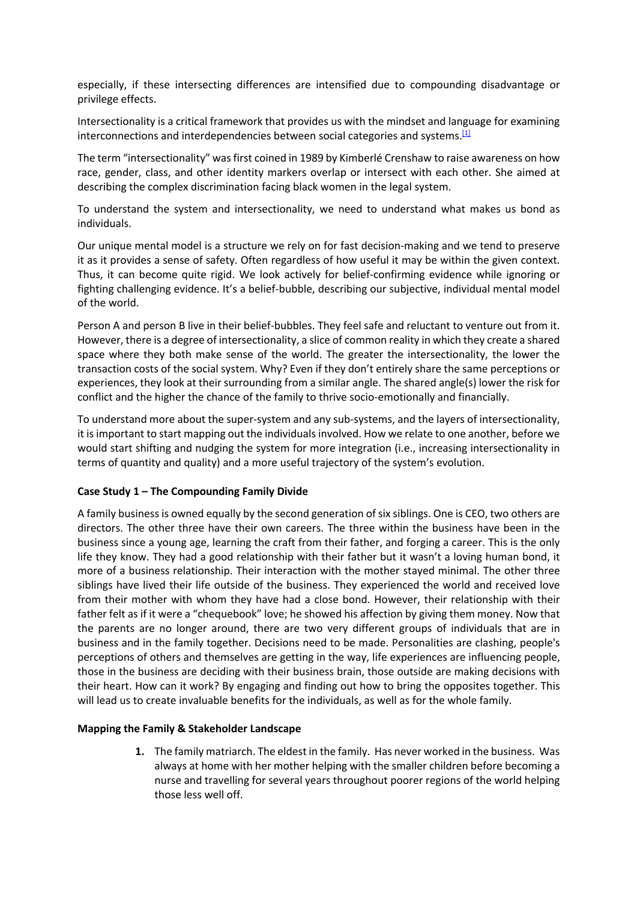especially, if these intersecting differences are intensified due to compounding disadvantage or privilege effects.

Intersectionality is a critical framework that provides us with the mindset and language for examining interconnections and interdependencies between social categories and systems.<sup>[1]</sup>

The term "intersectionality" was first coined in 1989 by Kimberlé Crenshaw to raise awareness on how race, gender, class, and other identity markers overlap or intersect with each other. She aimed at describing the complex discrimination facing black women in the legal system.

To understand the system and intersectionality, we need to understand what makes us bond as individuals.

Our unique mental model is a structure we rely on for fast decision-making and we tend to preserve it as it provides a sense of safety. Often regardless of how useful it may be within the given context. Thus, it can become quite rigid. We look actively for belief-confirming evidence while ignoring or fighting challenging evidence. It's a belief-bubble, describing our subjective, individual mental model of the world.

Person A and person B live in their belief-bubbles. They feel safe and reluctant to venture out from it. However, there is a degree of intersectionality, a slice of common reality in which they create a shared space where they both make sense of the world. The greater the intersectionality, the lower the transaction costs of the social system. Why? Even if they don't entirely share the same perceptions or experiences, they look at their surrounding from a similar angle. The shared angle(s) lower the risk for conflict and the higher the chance of the family to thrive socio-emotionally and financially.

To understand more about the super-system and any sub-systems, and the layers of intersectionality, it is important to start mapping out the individuals involved. How we relate to one another, before we would start shifting and nudging the system for more integration (i.e., increasing intersectionality in terms of quantity and quality) and a more useful trajectory of the system's evolution.

#### **Case Study 1 – The Compounding Family Divide**

A family business is owned equally by the second generation of six siblings. One is CEO, two others are directors. The other three have their own careers. The three within the business have been in the business since a young age, learning the craft from their father, and forging a career. This is the only life they know. They had a good relationship with their father but it wasn't a loving human bond, it more of a business relationship. Their interaction with the mother stayed minimal. The other three siblings have lived their life outside of the business. They experienced the world and received love from their mother with whom they have had a close bond. However, their relationship with their father felt as if it were a "chequebook" love; he showed his affection by giving them money. Now that the parents are no longer around, there are two very different groups of individuals that are in business and in the family together. Decisions need to be made. Personalities are clashing, people's perceptions of others and themselves are getting in the way, life experiences are influencing people, those in the business are deciding with their business brain, those outside are making decisions with their heart. How can it work? By engaging and finding out how to bring the opposites together. This will lead us to create invaluable benefits for the individuals, as well as for the whole family.

#### **Mapping the Family & Stakeholder Landscape**

**1.** The family matriarch. The eldest in the family. Has never worked in the business. Was always at home with her mother helping with the smaller children before becoming a nurse and travelling for several years throughout poorer regions of the world helping those less well off.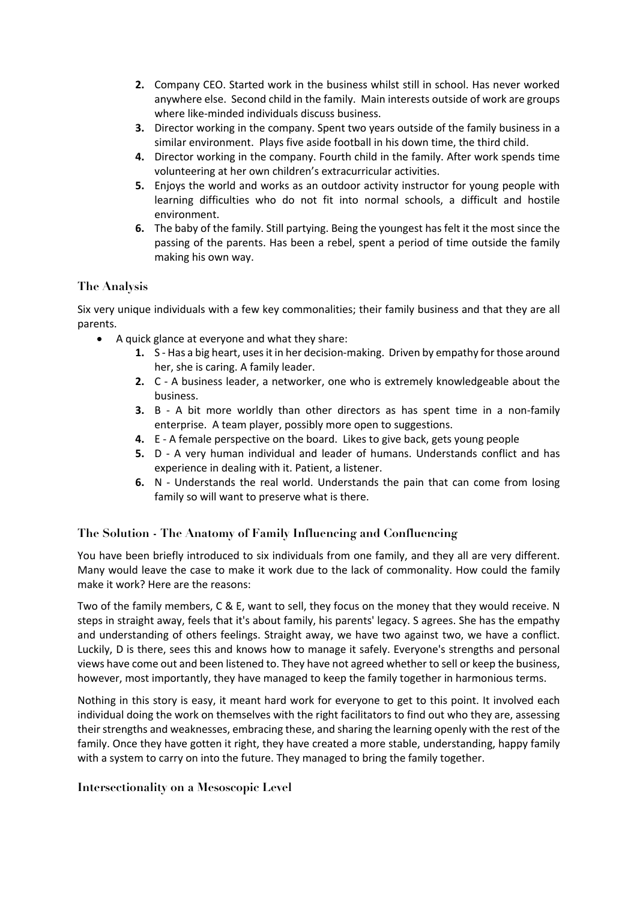- **2.** Company CEO. Started work in the business whilst still in school. Has never worked anywhere else. Second child in the family. Main interests outside of work are groups where like-minded individuals discuss business.
- **3.** Director working in the company. Spent two years outside of the family business in a similar environment. Plays five aside football in his down time, the third child.
- **4.** Director working in the company. Fourth child in the family. After work spends time volunteering at her own children's extracurricular activities.
- **5.** Enjoys the world and works as an outdoor activity instructor for young people with learning difficulties who do not fit into normal schools, a difficult and hostile environment.
- **6.** The baby of the family. Still partying. Being the youngest has felt it the most since the passing of the parents. Has been a rebel, spent a period of time outside the family making his own way.

## **The Analysis**

Six very unique individuals with a few key commonalities; their family business and that they are all parents.

- A quick glance at everyone and what they share:
	- **1.** S Has a big heart, uses it in her decision-making. Driven by empathy for those around her, she is caring. A family leader.
	- **2.** C A business leader, a networker, one who is extremely knowledgeable about the business.
	- **3.** B A bit more worldly than other directors as has spent time in a non-family enterprise. A team player, possibly more open to suggestions.
	- **4.** E A female perspective on the board. Likes to give back, gets young people
	- **5.** D A very human individual and leader of humans. Understands conflict and has experience in dealing with it. Patient, a listener.
	- **6.** N Understands the real world. Understands the pain that can come from losing family so will want to preserve what is there.

# **The Solution - The Anatomy of Family Influencing and Confluencing**

You have been briefly introduced to six individuals from one family, and they all are very different. Many would leave the case to make it work due to the lack of commonality. How could the family make it work? Here are the reasons:

Two of the family members, C & E, want to sell, they focus on the money that they would receive. N steps in straight away, feels that it's about family, his parents' legacy. S agrees. She has the empathy and understanding of others feelings. Straight away, we have two against two, we have a conflict. Luckily, D is there, sees this and knows how to manage it safely. Everyone's strengths and personal views have come out and been listened to. They have not agreed whether to sell or keep the business, however, most importantly, they have managed to keep the family together in harmonious terms.

Nothing in this story is easy, it meant hard work for everyone to get to this point. It involved each individual doing the work on themselves with the right facilitators to find out who they are, assessing their strengths and weaknesses, embracing these, and sharing the learning openly with the rest of the family. Once they have gotten it right, they have created a more stable, understanding, happy family with a system to carry on into the future. They managed to bring the family together.

## **Intersectionality on a Mesoscopic Level**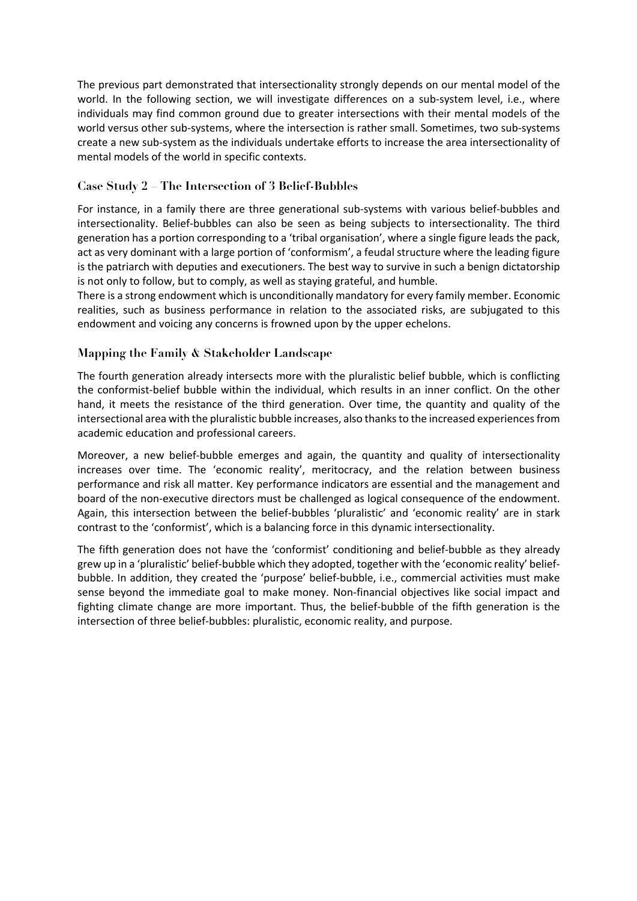The previous part demonstrated that intersectionality strongly depends on our mental model of the world. In the following section, we will investigate differences on a sub-system level, i.e., where individuals may find common ground due to greater intersections with their mental models of the world versus other sub-systems, where the intersection is rather small. Sometimes, two sub-systems create a new sub-system as the individuals undertake efforts to increase the area intersectionality of mental models of the world in specific contexts.

# **Case Study 2 – The Intersection of 3 Belief-Bubbles**

For instance, in a family there are three generational sub-systems with various belief-bubbles and intersectionality. Belief-bubbles can also be seen as being subjects to intersectionality. The third generation has a portion corresponding to a 'tribal organisation', where a single figure leads the pack, act as very dominant with a large portion of 'conformism', a feudal structure where the leading figure is the patriarch with deputies and executioners. The best way to survive in such a benign dictatorship is not only to follow, but to comply, as well as staying grateful, and humble.

There is a strong endowment which is unconditionally mandatory for every family member. Economic realities, such as business performance in relation to the associated risks, are subjugated to this endowment and voicing any concerns is frowned upon by the upper echelons.

# **Mapping the Family & Stakeholder Landscape**

The fourth generation already intersects more with the pluralistic belief bubble, which is conflicting the conformist-belief bubble within the individual, which results in an inner conflict. On the other hand, it meets the resistance of the third generation. Over time, the quantity and quality of the intersectional area with the pluralistic bubble increases, also thanks to the increased experiences from academic education and professional careers.

Moreover, a new belief-bubble emerges and again, the quantity and quality of intersectionality increases over time. The 'economic reality', meritocracy, and the relation between business performance and risk all matter. Key performance indicators are essential and the management and board of the non-executive directors must be challenged as logical consequence of the endowment. Again, this intersection between the belief-bubbles 'pluralistic' and 'economic reality' are in stark contrast to the 'conformist', which is a balancing force in this dynamic intersectionality.

The fifth generation does not have the 'conformist' conditioning and belief-bubble as they already grew up in a 'pluralistic' belief-bubble which they adopted, together with the 'economic reality' beliefbubble. In addition, they created the 'purpose' belief-bubble, i.e., commercial activities must make sense beyond the immediate goal to make money. Non-financial objectives like social impact and fighting climate change are more important. Thus, the belief-bubble of the fifth generation is the intersection of three belief-bubbles: pluralistic, economic reality, and purpose.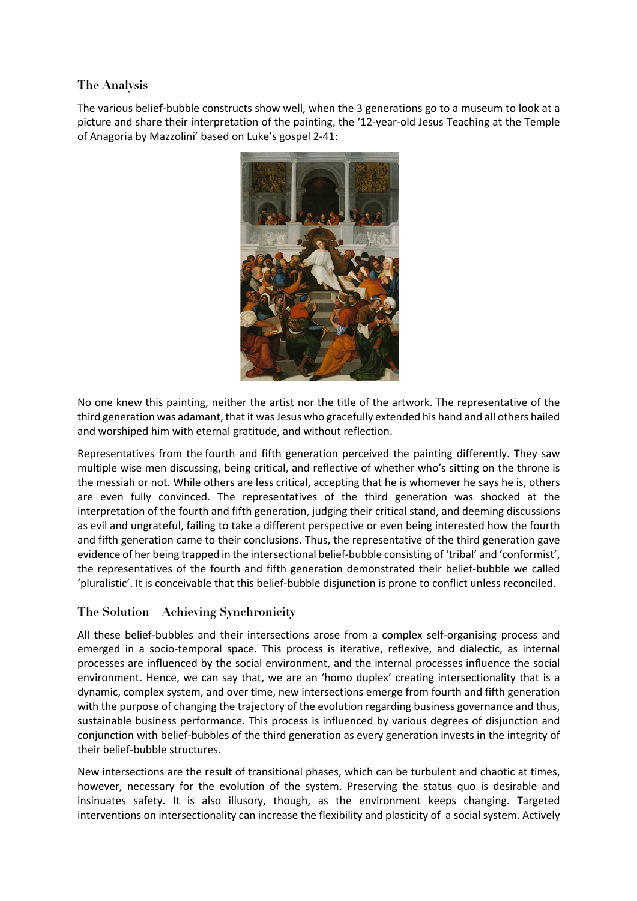## **The Analysis**

The various belief-bubble constructs show well, when the 3 generations go to a museum to look at a picture and share their interpretation of the painting, the '12-year-old Jesus Teaching at the Temple of Anagoria by Mazzolini' based on Luke's gospel 2-41:



No one knew this painting, neither the artist nor the title of the artwork. The representative of the third generation was adamant, that it was Jesus who gracefully extended his hand and all others hailed and worshiped him with eternal gratitude, and without reflection.

Representatives from the fourth and fifth generation perceived the painting differently. They saw multiple wise men discussing, being critical, and reflective of whether who's sitting on the throne is the messiah or not. While others are less critical, accepting that he is whomever he says he is, others are even fully convinced. The representatives of the third generation was shocked at the interpretation of the fourth and fifth generation, judging their critical stand, and deeming discussions as evil and ungrateful, failing to take a different perspective or even being interested how the fourth and fifth generation came to their conclusions. Thus, the representative of the third generation gave evidence of her being trapped in the intersectional belief-bubble consisting of 'tribal' and 'conformist', the representatives of the fourth and fifth generation demonstrated their belief-bubble we called 'pluralistic'. It is conceivable that this belief-bubble disjunction is prone to conflict unless reconciled.

## **The Solution – Achieving Synchronicity**

All these belief-bubbles and their intersections arose from a complex self-organising process and emerged in a socio-temporal space. This process is iterative, reflexive, and dialectic, as internal processes are influenced by the social environment, and the internal processes influence the social environment. Hence, we can say that, we are an 'homo duplex' creating intersectionality that is a dynamic, complex system, and over time, new intersections emerge from fourth and fifth generation with the purpose of changing the trajectory of the evolution regarding business governance and thus, sustainable business performance. This process is influenced by various degrees of disjunction and conjunction with belief-bubbles of the third generation as every generation invests in the integrity of their belief-bubble structures.

New intersections are the result of transitional phases, which can be turbulent and chaotic at times, however, necessary for the evolution of the system. Preserving the status quo is desirable and insinuates safety. It is also illusory, though, as the environment keeps changing. Targeted interventions on intersectionality can increase the flexibility and plasticity of a social system. Actively